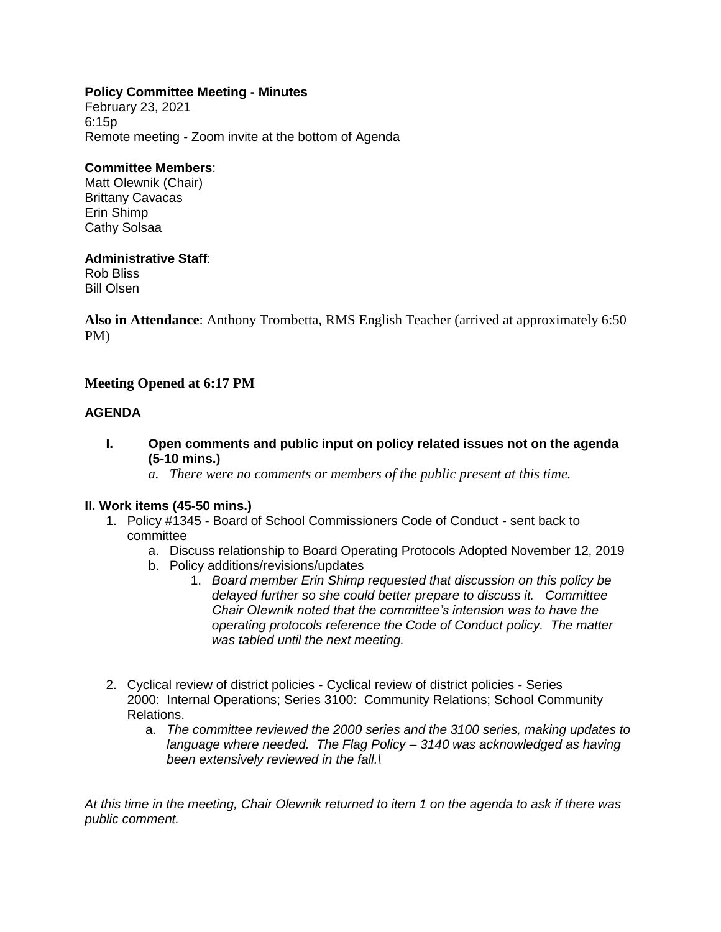## **Policy Committee Meeting - Minutes**

February 23, 2021 6:15p Remote meeting - Zoom invite at the bottom of Agenda

#### **Committee Members**:

Matt Olewnik (Chair) Brittany Cavacas Erin Shimp Cathy Solsaa

## **Administrative Staff**:

Rob Bliss Bill Olsen

**Also in Attendance**: Anthony Trombetta, RMS English Teacher (arrived at approximately 6:50 PM)

# **Meeting Opened at 6:17 PM**

## **AGENDA**

- **I. Open comments and public input on policy related issues not on the agenda (5-10 mins.)**
	- *a. There were no comments or members of the public present at this time.*

#### **II. Work items (45-50 mins.)**

- 1. Policy #1345 Board of School Commissioners Code of Conduct sent back to committee
	- a. Discuss relationship to Board Operating Protocols Adopted November 12, 2019
	- b. Policy additions/revisions/updates
		- 1. *Board member Erin Shimp requested that discussion on this policy be delayed further so she could better prepare to discuss it. Committee Chair OIewnik noted that the committee's intension was to have the operating protocols reference the Code of Conduct policy. The matter was tabled until the next meeting.*
- 2. Cyclical review of district policies Cyclical review of district policies Series 2000: Internal Operations; Series 3100: Community Relations; School Community Relations.
	- a. *The committee reviewed the 2000 series and the 3100 series, making updates to language where needed. The Flag Policy – 3140 was acknowledged as having been extensively reviewed in the fall.\*

*At this time in the meeting, Chair Olewnik returned to item 1 on the agenda to ask if there was public comment.*